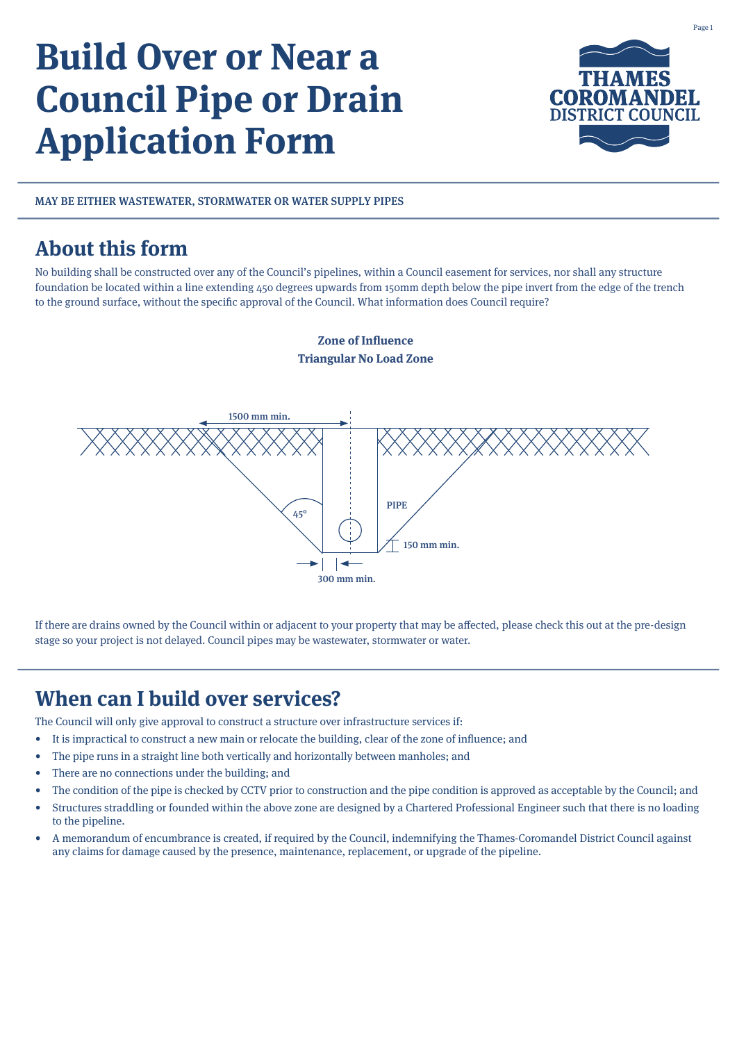# **Build Over or Near a Council Pipe or Drain Application Form**



MAY BE EITHER WASTEWATER, STORMWATER OR WATER SUPPLY PIPES

## **About this form**

No building shall be constructed over any of the Council's pipelines, within a Council easement for services, nor shall any structure foundation be located within a line extending 45o degrees upwards from 150mm depth below the pipe invert from the edge of the trench to the ground surface, without the specific approval of the Council. What information does Council require?



**Zone of Influence Triangular No Load Zone**

If there are drains owned by the Council within or adjacent to your property that may be affected, please check this out at the pre-design stage so your project is not delayed. Council pipes may be wastewater, stormwater or water.

# **When can I build over services?**

The Council will only give approval to construct a structure over infrastructure services if:

- It is impractical to construct a new main or relocate the building, clear of the zone of influence; and
- The pipe runs in a straight line both vertically and horizontally between manholes; and
- There are no connections under the building; and
- The condition of the pipe is checked by CCTV prior to construction and the pipe condition is approved as acceptable by the Council; and
- Structures straddling or founded within the above zone are designed by a Chartered Professional Engineer such that there is no loading to the pipeline.
- A memorandum of encumbrance is created, if required by the Council, indemnifying the Thames-Coromandel District Council against any claims for damage caused by the presence, maintenance, replacement, or upgrade of the pipeline.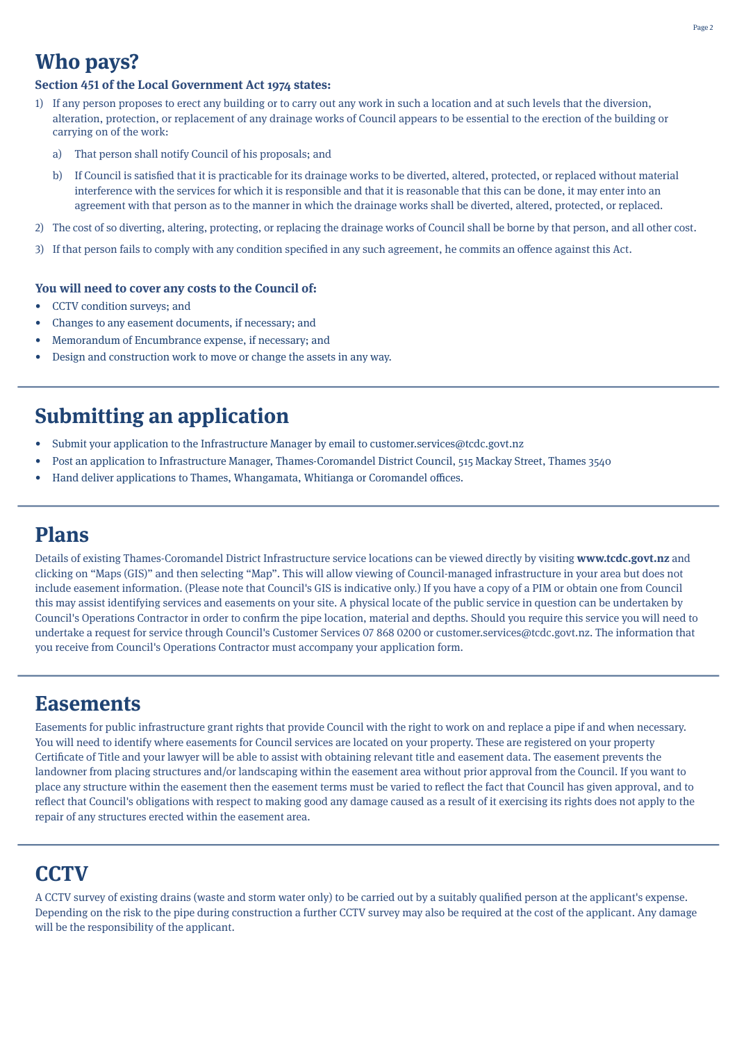### **Who pays?**

#### **Section 451 of the Local Government Act 1974 states:**

- 1) If any person proposes to erect any building or to carry out any work in such a location and at such levels that the diversion, alteration, protection, or replacement of any drainage works of Council appears to be essential to the erection of the building or carrying on of the work:
	- a) That person shall notify Council of his proposals; and
	- b) If Council is satisfied that it is practicable for its drainage works to be diverted, altered, protected, or replaced without material interference with the services for which it is responsible and that it is reasonable that this can be done, it may enter into an agreement with that person as to the manner in which the drainage works shall be diverted, altered, protected, or replaced.
- 2) The cost of so diverting, altering, protecting, or replacing the drainage works of Council shall be borne by that person, and all other cost.
- 3) If that person fails to comply with any condition specified in any such agreement, he commits an offence against this Act.

#### **You will need to cover any costs to the Council of:**

- CCTV condition surveys; and
- Changes to any easement documents, if necessary; and
- Memorandum of Encumbrance expense, if necessary; and
- Design and construction work to move or change the assets in any way.

# **Submitting an application**

- Submit your application to the Infrastructure Manager by email to customer.services@tcdc.govt.nz
- Post an application to Infrastructure Manager, Thames-Coromandel District Council, 515 Mackay Street, Thames 3540
- Hand deliver applications to Thames, Whangamata, Whitianga or Coromandel offices.

### **Plans**

Details of existing Thames-Coromandel District Infrastructure service locations can be viewed directly by visiting **www.tcdc.govt.nz** and clicking on "Maps (GIS)" and then selecting "Map". This will allow viewing of Council-managed infrastructure in your area but does not include easement information. (Please note that Council's GIS is indicative only.) If you have a copy of a PIM or obtain one from Council this may assist identifying services and easements on your site. A physical locate of the public service in question can be undertaken by Council's Operations Contractor in order to confirm the pipe location, material and depths. Should you require this service you will need to undertake a request for service through Council's Customer Services 07 868 0200 or customer.services@tcdc.govt.nz. The information that you receive from Council's Operations Contractor must accompany your application form.

### **Easements**

Easements for public infrastructure grant rights that provide Council with the right to work on and replace a pipe if and when necessary. You will need to identify where easements for Council services are located on your property. These are registered on your property Certificate of Title and your lawyer will be able to assist with obtaining relevant title and easement data. The easement prevents the landowner from placing structures and/or landscaping within the easement area without prior approval from the Council. If you want to place any structure within the easement then the easement terms must be varied to reflect the fact that Council has given approval, and to reflect that Council's obligations with respect to making good any damage caused as a result of it exercising its rights does not apply to the repair of any structures erected within the easement area.

## **CCTV**

A CCTV survey of existing drains (waste and storm water only) to be carried out by a suitably qualified person at the applicant's expense. Depending on the risk to the pipe during construction a further CCTV survey may also be required at the cost of the applicant. Any damage will be the responsibility of the applicant.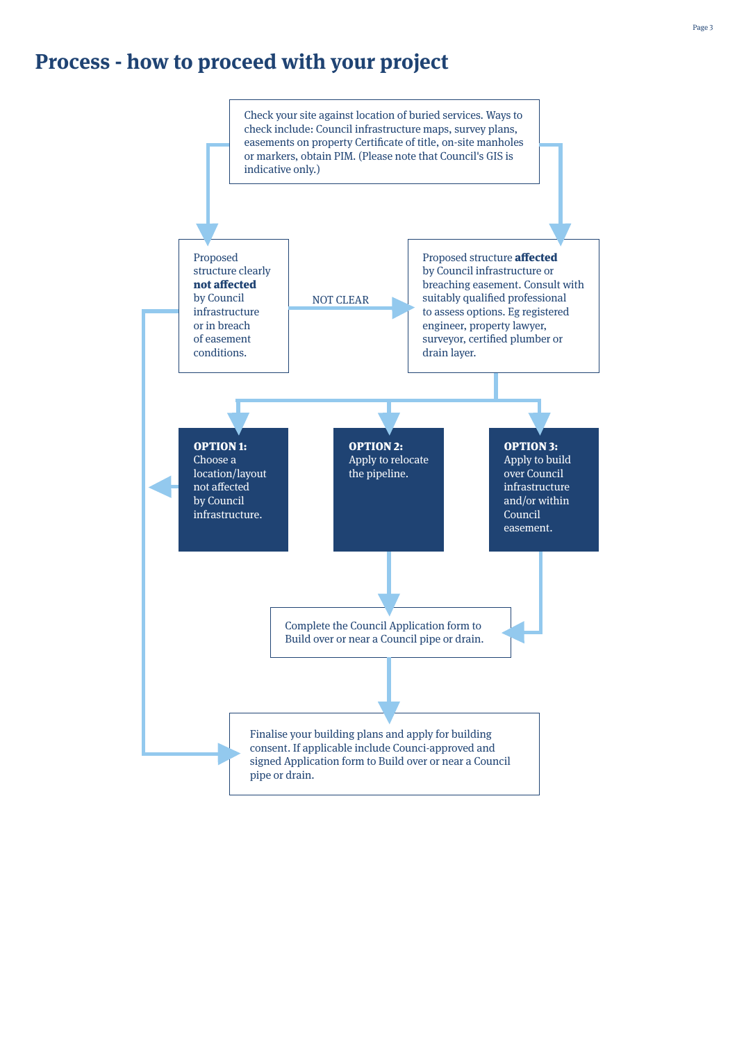## **Process - how to proceed with your project**